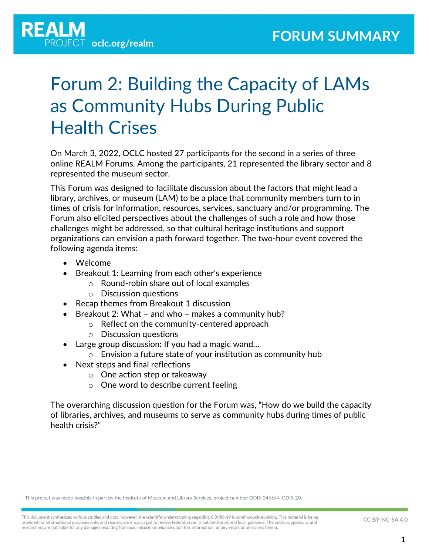

# Forum 2: Building the Capacity of LAMs as Community Hubs During Public Health Crises

On March 3, 2022, OCLC hosted 27 participants for the second in a series of three online REALM Forums. Among the participants, 21 represented the library sector and 8 represented the museum sector.

This Forum was designed to facilitate discussion about the factors that might lead a library, archives, or museum (LAM) to be a place that community members turn to in times of crisis for information, resources, services, sanctuary and/or programming. The Forum also elicited perspectives about the challenges of such a role and how those challenges might be addressed, so that cultural heritage institutions and support organizations can envision a path forward together. The two-hour event covered the following agenda items:

- Welcome
- Breakout 1: Learning from each other's experience
	- o Round-robin share out of local examples
	- o Discussion questions
- Recap themes from Breakout 1 discussion
- Breakout 2: What and who makes a community hub?
	- o Reflect on the community-centered approach
	- o Discussion questions
- Large group discussion: If you had a magic wand…
	- o Envision a future state of your institution as community hub
- Next steps and final reflections
	- o One action step or takeaway
	- o One word to describe current feeling

The overarching discussion question for the Forum was, "How do we build the capacity of libraries, archives, and museums to serve as community hubs during times of public health crisis?"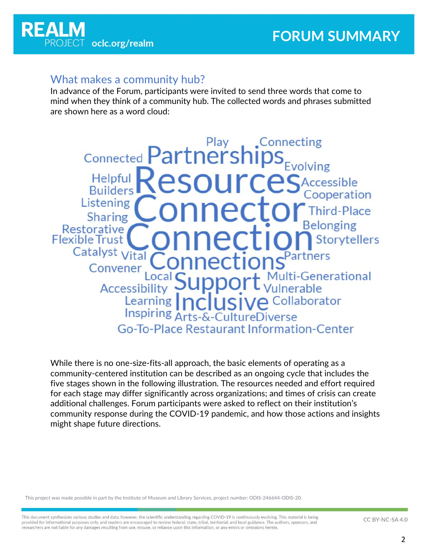

#### What makes a community hub?

In advance of the Forum, participants were invited to send three words that come to mind when they think of a community hub. The collected words and phrases submitted are shown here as a word cloud:

.Connecting Play Connected Partnership Helpful Accessible **Builders** ooperation Listening **Third-Place** Sharing **Restorative Flexible Trust Storvtellers** Catalyst Vital artners Convener ti-Generational Accessibilit SIVA Collaborator Learning Inspiring  $\Lambda_r$ Go-To-Place Restaurant Information-Center

While there is no one-size-fits-all approach, the basic elements of operating as a community-centered institution can be described as an ongoing cycle that includes the five stages shown in the following illustration. The resources needed and effort required for each stage may differ significantly across organizations; and times of crisis can create additional challenges. Forum participants were asked to reflect on their institution's community response during the COVID-19 pandemic, and how those actions and insights might shape future directions.

This project was made possible in part by the Institute of Museum and Library Services, project number: ODIS-246644-ODIS-20.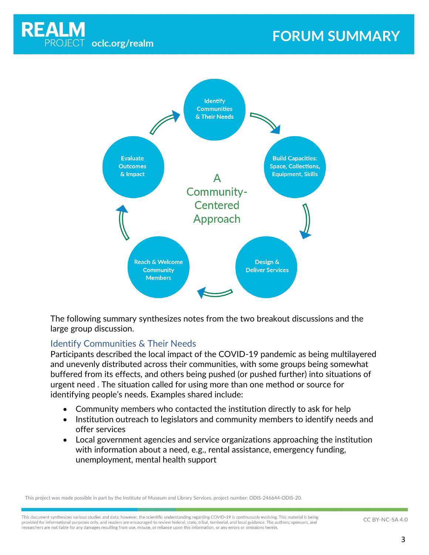

# **FORUM SUMMARY**



The following summary synthesizes notes from the two breakout discussions and the large group discussion.

#### Identify Communities & Their Needs

Participants described the local impact of the COVID-19 pandemic as being multilayered and unevenly distributed across their communities, with some groups being somewhat buffered from its effects, and others being pushed (or pushed further) into situations of urgent need . The situation called for using more than one method or source for identifying people's needs. Examples shared include:

- Community members who contacted the institution directly to ask for help
- Institution outreach to legislators and community members to identify needs and offer services
- Local government agencies and service organizations approaching the institution with information about a need, e.g., rental assistance, emergency funding, unemployment, mental health support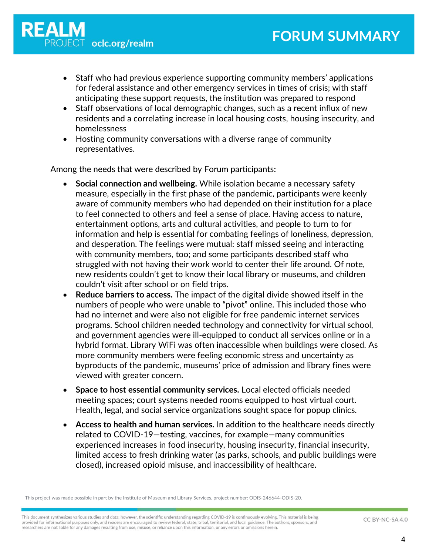- Staff who had previous experience supporting community members' applications for federal assistance and other emergency services in times of crisis; with staff anticipating these support requests, the institution was prepared to respond
- Staff observations of local demographic changes, such as a recent influx of new residents and a correlating increase in local housing costs, housing insecurity, and homelessness
- Hosting community conversations with a diverse range of community representatives.

Among the needs that were described by Forum participants:

- **Social connection and wellbeing.** While isolation became a necessary safety measure, especially in the first phase of the pandemic, participants were keenly aware of community members who had depended on their institution for a place to feel connected to others and feel a sense of place. Having access to nature, entertainment options, arts and cultural activities, and people to turn to for information and help is essential for combating feelings of loneliness, depression, and desperation. The feelings were mutual: staff missed seeing and interacting with community members, too; and some participants described staff who struggled with not having their work world to center their life around. Of note, new residents couldn't get to know their local library or museums, and children couldn't visit after school or on field trips.
- **Reduce barriers to access.** The impact of the digital divide showed itself in the numbers of people who were unable to "pivot" online. This included those who had no internet and were also not eligible for free pandemic internet services programs. School children needed technology and connectivity for virtual school, and government agencies were ill-equipped to conduct all services online or in a hybrid format. Library WiFi was often inaccessible when buildings were closed. As more community members were feeling economic stress and uncertainty as byproducts of the pandemic, museums' price of admission and library fines were viewed with greater concern.
- **Space to host essential community services.** Local elected officials needed meeting spaces; court systems needed rooms equipped to host virtual court. Health, legal, and social service organizations sought space for popup clinics.
- **Access to health and human services.** In addition to the healthcare needs directly related to COVID-19—testing, vaccines, for example—many communities experienced increases in food insecurity, housing insecurity, financial insecurity, limited access to fresh drinking water (as parks, schools, and public buildings were closed), increased opioid misuse, and inaccessibility of healthcare.

This project was made possible in part by the Institute of Museum and Library Services, project number: ODIS-246644-ODIS-20.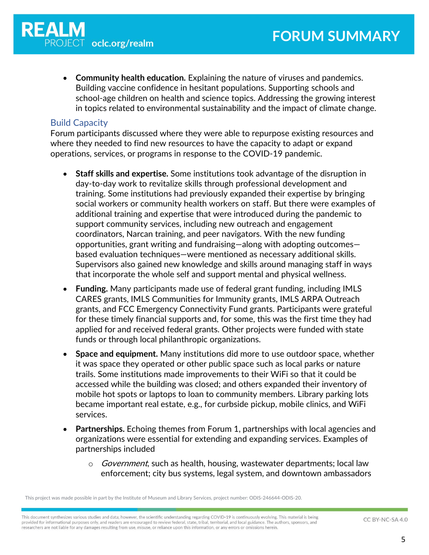• **Community health education.** Explaining the nature of viruses and pandemics. Building vaccine confidence in hesitant populations. Supporting schools and school-age children on health and science topics. Addressing the growing interest in topics related to environmental sustainability and the impact of climate change.

#### Build Capacity

Forum participants discussed where they were able to repurpose existing resources and where they needed to find new resources to have the capacity to adapt or expand operations, services, or programs in response to the COVID-19 pandemic.

- **Staff skills and expertise.** Some institutions took advantage of the disruption in day-to-day work to revitalize skills through professional development and training. Some institutions had previously expanded their expertise by bringing social workers or community health workers on staff. But there were examples of additional training and expertise that were introduced during the pandemic to support community services, including new outreach and engagement coordinators, Narcan training, and peer navigators. With the new funding opportunities, grant writing and fundraising—along with adopting outcomes based evaluation techniques—were mentioned as necessary additional skills. Supervisors also gained new knowledge and skills around managing staff in ways that incorporate the whole self and support mental and physical wellness.
- **Funding.** Many participants made use of federal grant funding, including IMLS CARES grants, IMLS Communities for Immunity grants, IMLS ARPA Outreach grants, and FCC Emergency Connectivity Fund grants. Participants were grateful for these timely financial supports and, for some, this was the first time they had applied for and received federal grants. Other projects were funded with state funds or through local philanthropic organizations.
- **Space and equipment.** Many institutions did more to use outdoor space, whether it was space they operated or other public space such as local parks or nature trails. Some institutions made improvements to their WiFi so that it could be accessed while the building was closed; and others expanded their inventory of mobile hot spots or laptops to loan to community members. Library parking lots became important real estate, e.g., for curbside pickup, mobile clinics, and WiFi services.
- **Partnerships.** Echoing themes from Forum 1, partnerships with local agencies and organizations were essential for extending and expanding services. Examples of partnerships included
	- $\circ$  *Government*, such as health, housing, wastewater departments; local law enforcement; city bus systems, legal system, and downtown ambassadors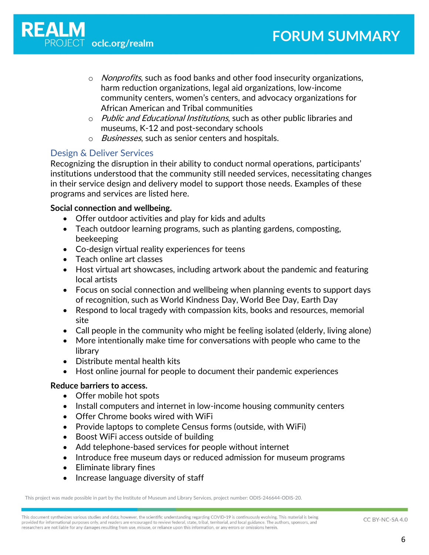- $\circ$  *Nonprofits*, such as food banks and other food insecurity organizations, harm reduction organizations, legal aid organizations, low-income community centers, women's centers, and advocacy organizations for African American and Tribal communities
- o Public and Educational Institutions, such as other public libraries and museums, K-12 and post-secondary schools
- o *Businesses*, such as senior centers and hospitals.

#### Design & Deliver Services

Recognizing the disruption in their ability to conduct normal operations, participants' institutions understood that the community still needed services, necessitating changes in their service design and delivery model to support those needs. Examples of these programs and services are listed here.

#### **Social connection and wellbeing.**

- Offer outdoor activities and play for kids and adults
- Teach outdoor learning programs, such as planting gardens, composting, beekeeping
- Co-design virtual reality experiences for teens
- Teach online art classes
- Host virtual art showcases, including artwork about the pandemic and featuring local artists
- Focus on social connection and wellbeing when planning events to support days of recognition, such as World Kindness Day, World Bee Day, Earth Day
- Respond to local tragedy with compassion kits, books and resources, memorial site
- Call people in the community who might be feeling isolated (elderly, living alone)
- More intentionally make time for conversations with people who came to the library
- Distribute mental health kits
- Host online journal for people to document their pandemic experiences

#### **Reduce barriers to access.**

- Offer mobile hot spots
- Install computers and internet in low-income housing community centers
- Offer Chrome books wired with WiFi
- Provide laptops to complete Census forms (outside, with WiFi)
- Boost WiFi access outside of building
- Add telephone-based services for people without internet
- Introduce free museum days or reduced admission for museum programs
- Eliminate library fines
- Increase language diversity of staff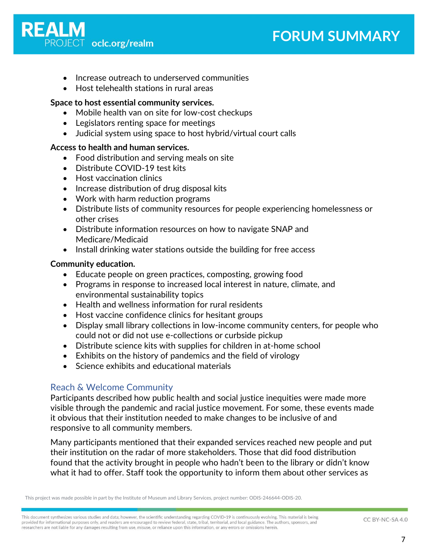

- Increase outreach to underserved communities
- Host telehealth stations in rural areas

#### **Space to host essential community services.**

- Mobile health van on site for low-cost checkups
- Legislators renting space for meetings
- Judicial system using space to host hybrid/virtual court calls

#### **Access to health and human services.**

- Food distribution and serving meals on site
- Distribute COVID-19 test kits
- Host vaccination clinics
- Increase distribution of drug disposal kits
- Work with harm reduction programs
- Distribute lists of community resources for people experiencing homelessness or other crises
- Distribute information resources on how to navigate SNAP and Medicare/Medicaid
- Install drinking water stations outside the building for free access

#### **Community education.**

- Educate people on green practices, composting, growing food
- Programs in response to increased local interest in nature, climate, and environmental sustainability topics
- Health and wellness information for rural residents
- Host vaccine confidence clinics for hesitant groups
- Display small library collections in low-income community centers, for people who could not or did not use e-collections or curbside pickup
- Distribute science kits with supplies for children in at-home school
- Exhibits on the history of pandemics and the field of virology
- Science exhibits and educational materials

#### Reach & Welcome Community

Participants described how public health and social justice inequities were made more visible through the pandemic and racial justice movement. For some, these events made it obvious that their institution needed to make changes to be inclusive of and responsive to all community members.

Many participants mentioned that their expanded services reached new people and put their institution on the radar of more stakeholders. Those that did food distribution found that the activity brought in people who hadn't been to the library or didn't know what it had to offer. Staff took the opportunity to inform them about other services as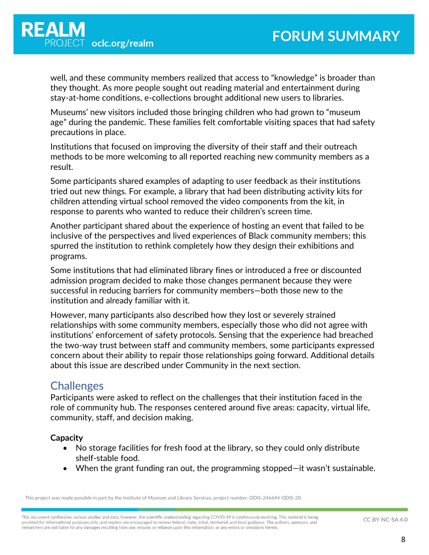well, and these community members realized that access to "knowledge" is broader than they thought. As more people sought out reading material and entertainment during stay-at-home conditions, e-collections brought additional new users to libraries.

Museums' new visitors included those bringing children who had grown to "museum age" during the pandemic. These families felt comfortable visiting spaces that had safety precautions in place.

Institutions that focused on improving the diversity of their staff and their outreach methods to be more welcoming to all reported reaching new community members as a result.

Some participants shared examples of adapting to user feedback as their institutions tried out new things. For example, a library that had been distributing activity kits for children attending virtual school removed the video components from the kit, in response to parents who wanted to reduce their children's screen time.

Another participant shared about the experience of hosting an event that failed to be inclusive of the perspectives and lived experiences of Black community members; this spurred the institution to rethink completely how they design their exhibitions and programs.

Some institutions that had eliminated library fines or introduced a free or discounted admission program decided to make those changes permanent because they were successful in reducing barriers for community members—both those new to the institution and already familiar with it.

However, many participants also described how they lost or severely strained relationships with some community members, especially those who did not agree with institutions' enforcement of safety protocols. Sensing that the experience had breached the two-way trust between staff and community members, some participants expressed concern about their ability to repair those relationships going forward. Additional details about this issue are described under Community in the next section.

# **Challenges**

Participants were asked to reflect on the challenges that their institution faced in the role of community hub. The responses centered around five areas: capacity, virtual life, community, staff, and decision making.

#### **Capacity**

- No storage facilities for fresh food at the library, so they could only distribute shelf-stable food.
- When the grant funding ran out, the programming stopped—it wasn't sustainable.

This project was made possible in part by the Institute of Museum and Library Services, project number: ODIS-246644-ODIS-20.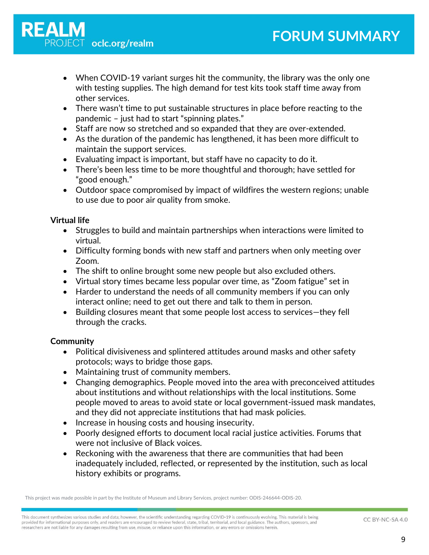- When COVID-19 variant surges hit the community, the library was the only one with testing supplies. The high demand for test kits took staff time away from other services.
- There wasn't time to put sustainable structures in place before reacting to the pandemic – just had to start "spinning plates."
- Staff are now so stretched and so expanded that they are over-extended.
- As the duration of the pandemic has lengthened, it has been more difficult to maintain the support services.
- Evaluating impact is important, but staff have no capacity to do it.
- There's been less time to be more thoughtful and thorough; have settled for "good enough."
- Outdoor space compromised by impact of wildfires the western regions; unable to use due to poor air quality from smoke.

#### **Virtual life**

- Struggles to build and maintain partnerships when interactions were limited to virtual.
- Difficulty forming bonds with new staff and partners when only meeting over Zoom.
- The shift to online brought some new people but also excluded others.
- Virtual story times became less popular over time, as "Zoom fatigue" set in
- Harder to understand the needs of all community members if you can only interact online; need to get out there and talk to them in person.
- Building closures meant that some people lost access to services—they fell through the cracks.

#### **Community**

- Political divisiveness and splintered attitudes around masks and other safety protocols; ways to bridge those gaps.
- Maintaining trust of community members.
- Changing demographics. People moved into the area with preconceived attitudes about institutions and without relationships with the local institutions. Some people moved to areas to avoid state or local government-issued mask mandates, and they did not appreciate institutions that had mask policies.
- Increase in housing costs and housing insecurity.
- Poorly designed efforts to document local racial justice activities. Forums that were not inclusive of Black voices.
- Reckoning with the awareness that there are communities that had been inadequately included, reflected, or represented by the institution, such as local history exhibits or programs.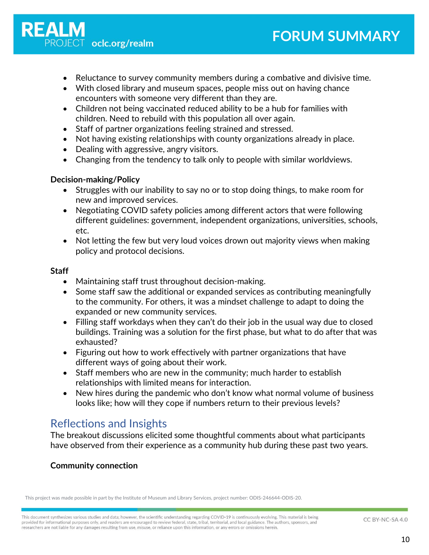

- Reluctance to survey community members during a combative and divisive time.
- With closed library and museum spaces, people miss out on having chance encounters with someone very different than they are.
- Children not being vaccinated reduced ability to be a hub for families with children. Need to rebuild with this population all over again.
- Staff of partner organizations feeling strained and stressed.
- Not having existing relationships with county organizations already in place.
- Dealing with aggressive, angry visitors.
- Changing from the tendency to talk only to people with similar worldviews.

#### **Decision-making/Policy**

- Struggles with our inability to say no or to stop doing things, to make room for new and improved services.
- Negotiating COVID safety policies among different actors that were following different guidelines: government, independent organizations, universities, schools, etc.
- Not letting the few but very loud voices drown out majority views when making policy and protocol decisions.

#### **Staff**

- Maintaining staff trust throughout decision-making.
- Some staff saw the additional or expanded services as contributing meaningfully to the community. For others, it was a mindset challenge to adapt to doing the expanded or new community services.
- Filling staff workdays when they can't do their job in the usual way due to closed buildings. Training was a solution for the first phase, but what to do after that was exhausted?
- Figuring out how to work effectively with partner organizations that have different ways of going about their work.
- Staff members who are new in the community; much harder to establish relationships with limited means for interaction.
- New hires during the pandemic who don't know what normal volume of business looks like; how will they cope if numbers return to their previous levels?

# Reflections and Insights

The breakout discussions elicited some thoughtful comments about what participants have observed from their experience as a community hub during these past two years.

#### **Community connection**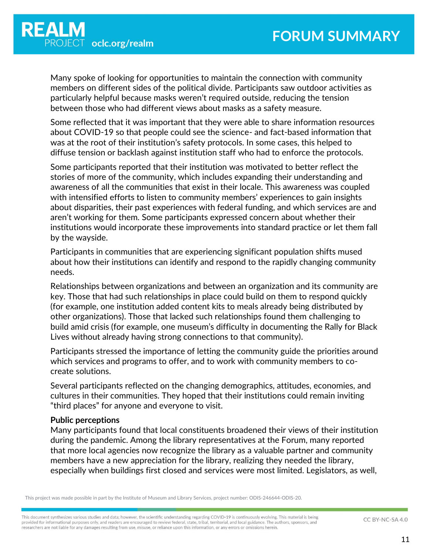Many spoke of looking for opportunities to maintain the connection with community members on different sides of the political divide. Participants saw outdoor activities as particularly helpful because masks weren't required outside, reducing the tension between those who had different views about masks as a safety measure.

Some reflected that it was important that they were able to share information resources about COVID-19 so that people could see the science- and fact-based information that was at the root of their institution's safety protocols. In some cases, this helped to diffuse tension or backlash against institution staff who had to enforce the protocols.

Some participants reported that their institution was motivated to better reflect the stories of more of the community, which includes expanding their understanding and awareness of all the communities that exist in their locale. This awareness was coupled with intensified efforts to listen to community members' experiences to gain insights about disparities, their past experiences with federal funding, and which services are and aren't working for them. Some participants expressed concern about whether their institutions would incorporate these improvements into standard practice or let them fall by the wayside.

Participants in communities that are experiencing significant population shifts mused about how their institutions can identify and respond to the rapidly changing community needs.

Relationships between organizations and between an organization and its community are key. Those that had such relationships in place could build on them to respond quickly (for example, one institution added content kits to meals already being distributed by other organizations). Those that lacked such relationships found them challenging to build amid crisis (for example, one museum's difficulty in documenting the Rally for Black Lives without already having strong connections to that community).

Participants stressed the importance of letting the community guide the priorities around which services and programs to offer, and to work with community members to cocreate solutions.

Several participants reflected on the changing demographics, attitudes, economies, and cultures in their communities. They hoped that their institutions could remain inviting "third places" for anyone and everyone to visit.

#### **Public perceptions**

Many participants found that local constituents broadened their views of their institution during the pandemic. Among the library representatives at the Forum, many reported that more local agencies now recognize the library as a valuable partner and community members have a new appreciation for the library, realizing they needed the library, especially when buildings first closed and services were most limited. Legislators, as well,

This project was made possible in part by the Institute of Museum and Library Services, project number: ODIS-246644-ODIS-20.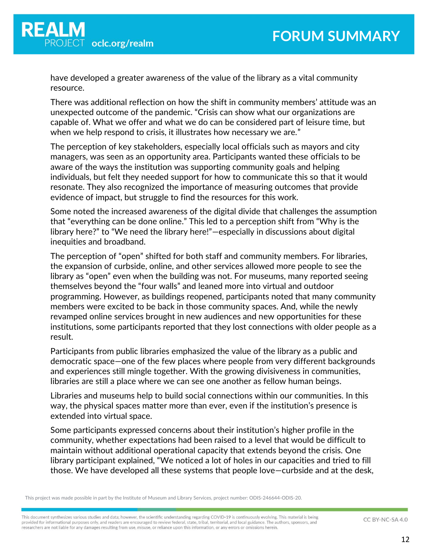have developed a greater awareness of the value of the library as a vital community resource.

There was additional reflection on how the shift in community members' attitude was an unexpected outcome of the pandemic. "Crisis can show what our organizations are capable of. What we offer and what we do can be considered part of leisure time, but when we help respond to crisis, it illustrates how necessary we are."

The perception of key stakeholders, especially local officials such as mayors and city managers, was seen as an opportunity area. Participants wanted these officials to be aware of the ways the institution was supporting community goals and helping individuals, but felt they needed support for how to communicate this so that it would resonate. They also recognized the importance of measuring outcomes that provide evidence of impact, but struggle to find the resources for this work.

Some noted the increased awareness of the digital divide that challenges the assumption that "everything can be done online." This led to a perception shift from "Why is the library here?" to "We need the library here!"—especially in discussions about digital inequities and broadband.

The perception of "open" shifted for both staff and community members. For libraries, the expansion of curbside, online, and other services allowed more people to see the library as "open" even when the building was not. For museums, many reported seeing themselves beyond the "four walls" and leaned more into virtual and outdoor programming. However, as buildings reopened, participants noted that many community members were excited to be back in those community spaces. And, while the newly revamped online services brought in new audiences and new opportunities for these institutions, some participants reported that they lost connections with older people as a result.

Participants from public libraries emphasized the value of the library as a public and democratic space—one of the few places where people from very different backgrounds and experiences still mingle together. With the growing divisiveness in communities, libraries are still a place where we can see one another as fellow human beings.

Libraries and museums help to build social connections within our communities. In this way, the physical spaces matter more than ever, even if the institution's presence is extended into virtual space.

Some participants expressed concerns about their institution's higher profile in the community, whether expectations had been raised to a level that would be difficult to maintain without additional operational capacity that extends beyond the crisis. One library participant explained, "We noticed a lot of holes in our capacities and tried to fill those. We have developed all these systems that people love—curbside and at the desk,

This project was made possible in part by the Institute of Museum and Library Services, project number: ODIS-246644-ODIS-20.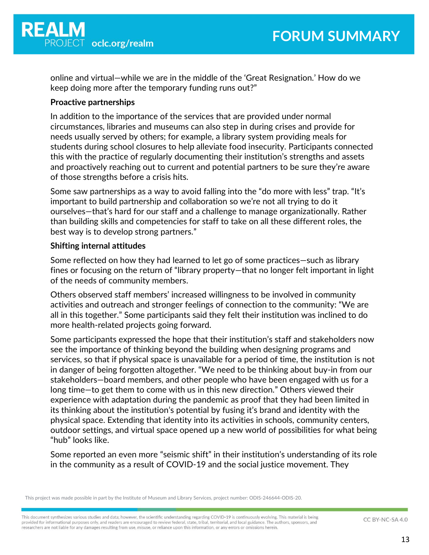online and virtual—while we are in the middle of the 'Great Resignation.' How do we keep doing more after the temporary funding runs out?"

#### **Proactive partnerships**

In addition to the importance of the services that are provided under normal circumstances, libraries and museums can also step in during crises and provide for needs usually served by others; for example, a library system providing meals for students during school closures to help alleviate food insecurity. Participants connected this with the practice of regularly documenting their institution's strengths and assets and proactively reaching out to current and potential partners to be sure they're aware of those strengths before a crisis hits.

Some saw partnerships as a way to avoid falling into the "do more with less" trap. "It's important to build partnership and collaboration so we're not all trying to do it ourselves—that's hard for our staff and a challenge to manage organizationally. Rather than building skills and competencies for staff to take on all these different roles, the best way is to develop strong partners."

#### **Shifting internal attitudes**

Some reflected on how they had learned to let go of some practices—such as library fines or focusing on the return of "library property—that no longer felt important in light of the needs of community members.

Others observed staff members' increased willingness to be involved in community activities and outreach and stronger feelings of connection to the community: "We are all in this together." Some participants said they felt their institution was inclined to do more health-related projects going forward.

Some participants expressed the hope that their institution's staff and stakeholders now see the importance of thinking beyond the building when designing programs and services, so that if physical space is unavailable for a period of time, the institution is not in danger of being forgotten altogether. "We need to be thinking about buy-in from our stakeholders—board members, and other people who have been engaged with us for a long time—to get them to come with us in this new direction." Others viewed their experience with adaptation during the pandemic as proof that they had been limited in its thinking about the institution's potential by fusing it's brand and identity with the physical space. Extending that identity into its activities in schools, community centers, outdoor settings, and virtual space opened up a new world of possibilities for what being "hub" looks like.

Some reported an even more "seismic shift" in their institution's understanding of its role in the community as a result of COVID-19 and the social justice movement. They

This project was made possible in part by the Institute of Museum and Library Services, project number: ODIS-246644-ODIS-20.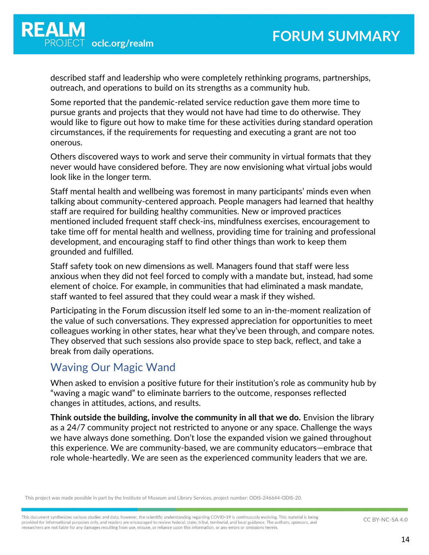described staff and leadership who were completely rethinking programs, partnerships, outreach, and operations to build on its strengths as a community hub.

Some reported that the pandemic-related service reduction gave them more time to pursue grants and projects that they would not have had time to do otherwise. They would like to figure out how to make time for these activities during standard operation circumstances, if the requirements for requesting and executing a grant are not too onerous.

Others discovered ways to work and serve their community in virtual formats that they never would have considered before. They are now envisioning what virtual jobs would look like in the longer term.

Staff mental health and wellbeing was foremost in many participants' minds even when talking about community-centered approach. People managers had learned that healthy staff are required for building healthy communities. New or improved practices mentioned included frequent staff check-ins, mindfulness exercises, encouragement to take time off for mental health and wellness, providing time for training and professional development, and encouraging staff to find other things than work to keep them grounded and fulfilled.

Staff safety took on new dimensions as well. Managers found that staff were less anxious when they did not feel forced to comply with a mandate but, instead, had some element of choice. For example, in communities that had eliminated a mask mandate, staff wanted to feel assured that they could wear a mask if they wished.

Participating in the Forum discussion itself led some to an in-the-moment realization of the value of such conversations. They expressed appreciation for opportunities to meet colleagues working in other states, hear what they've been through, and compare notes. They observed that such sessions also provide space to step back, reflect, and take a break from daily operations.

## Waving Our Magic Wand

When asked to envision a positive future for their institution's role as community hub by "waving a magic wand" to eliminate barriers to the outcome, responses reflected changes in attitudes, actions, and results.

**Think outside the building, involve the community in all that we do.** Envision the library as a 24/7 community project not restricted to anyone or any space. Challenge the ways we have always done something. Don't lose the expanded vision we gained throughout this experience. We are community-based, we are community educators—embrace that role whole-heartedly. We are seen as the experienced community leaders that we are.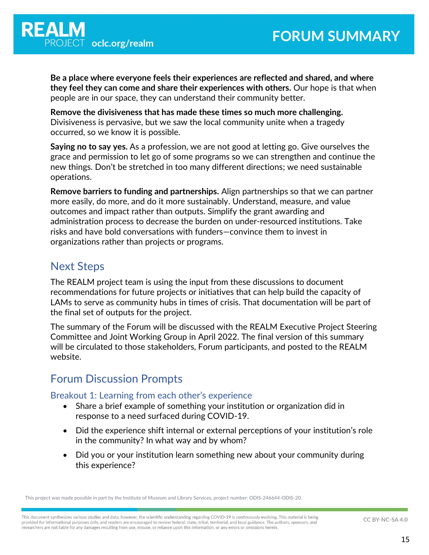

**Be a place where everyone feels their experiences are reflected and shared, and where they feel they can come and share their experiences with others.** Our hope is that when people are in our space, they can understand their community better.

**Remove the divisiveness that has made these times so much more challenging.** Divisiveness is pervasive, but we saw the local community unite when a tragedy occurred, so we know it is possible.

**Saying no to say yes.** As a profession, we are not good at letting go. Give ourselves the grace and permission to let go of some programs so we can strengthen and continue the new things. Don't be stretched in too many different directions; we need sustainable operations.

**Remove barriers to funding and partnerships.** Align partnerships so that we can partner more easily, do more, and do it more sustainably. Understand, measure, and value outcomes and impact rather than outputs. Simplify the grant awarding and administration process to decrease the burden on under-resourced institutions. Take risks and have bold conversations with funders—convince them to invest in organizations rather than projects or programs.

### Next Steps

The REALM project team is using the input from these discussions to document recommendations for future projects or initiatives that can help build the capacity of LAMs to serve as community hubs in times of crisis. That documentation will be part of the final set of outputs for the project.

The summary of the Forum will be discussed with the REALM Executive Project Steering Committee and Joint Working Group in April 2022. The final version of this summary will be circulated to those stakeholders, Forum participants, and posted to the REALM website.

# Forum Discussion Prompts

Breakout 1: Learning from each other's experience

- Share a brief example of something your institution or organization did in response to a need surfaced during COVID-19.
- Did the experience shift internal or external perceptions of your institution's role in the community? In what way and by whom?
- Did you or your institution learn something new about your community during this experience?